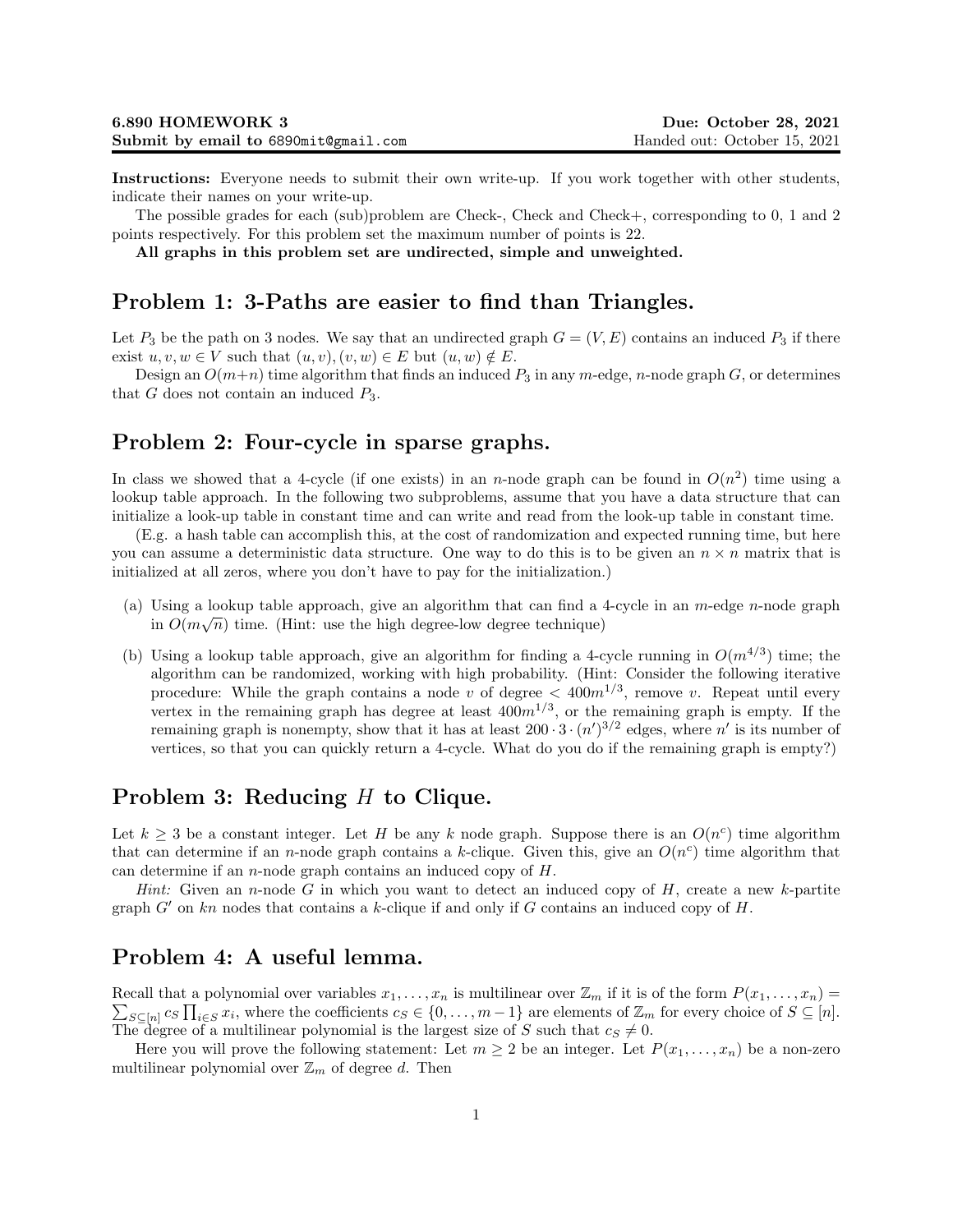Instructions: Everyone needs to submit their own write-up. If you work together with other students, indicate their names on your write-up.

The possible grades for each (sub)problem are Check-, Check and Check+, corresponding to 0, 1 and 2 points respectively. For this problem set the maximum number of points is 22.

All graphs in this problem set are undirected, simple and unweighted.

### Problem 1: 3-Paths are easier to find than Triangles.

Let  $P_3$  be the path on 3 nodes. We say that an undirected graph  $G = (V, E)$  contains an induced  $P_3$  if there exist  $u, v, w \in V$  such that  $(u, v), (v, w) \in E$  but  $(u, w) \notin E$ .

Design an  $O(m+n)$  time algorithm that finds an induced  $P_3$  in any m-edge, n-node graph G, or determines that  $G$  does not contain an induced  $P_3$ .

### Problem 2: Four-cycle in sparse graphs.

In class we showed that a 4-cycle (if one exists) in an *n*-node graph can be found in  $O(n^2)$  time using a lookup table approach. In the following two subproblems, assume that you have a data structure that can initialize a look-up table in constant time and can write and read from the look-up table in constant time.

(E.g. a hash table can accomplish this, at the cost of randomization and expected running time, but here you can assume a deterministic data structure. One way to do this is to be given an  $n \times n$  matrix that is initialized at all zeros, where you don't have to pay for the initialization.)

- (a) Using a lookup table approach, give an algorithm that can find a 4-cycle in an  $m$ -edge n-node graph in  $O(m\sqrt{n})$  time. (Hint: use the high degree-low degree technique)
- (b) Using a lookup table approach, give an algorithm for finding a 4-cycle running in  $O(m^{4/3})$  time; the algorithm can be randomized, working with high probability. (Hint: Consider the following iterative procedure: While the graph contains a node v of degree  $\lt$  400 $m^{1/3}$ , remove v. Repeat until every vertex in the remaining graph has degree at least  $400m^{1/3}$ , or the remaining graph is empty. If the remaining graph is nonempty, show that it has at least  $200 \cdot 3 \cdot (n')^{3/2}$  edges, where n' is its number of vertices, so that you can quickly return a 4-cycle. What do you do if the remaining graph is empty?)

### Problem 3: Reducing H to Clique.

Let  $k \geq 3$  be a constant integer. Let H be any k node graph. Suppose there is an  $O(n^c)$  time algorithm that can determine if an *n*-node graph contains a k-clique. Given this, give an  $O(n^c)$  time algorithm that can determine if an *n*-node graph contains an induced copy of  $H$ .

*Hint:* Given an *n*-node G in which you want to detect an induced copy of  $H$ , create a new k-partite graph  $G'$  on kn nodes that contains a k-clique if and only if G contains an induced copy of H.

## Problem 4: A useful lemma.

 $\sum_{S \subseteq [n]} c_S \prod_{i \in S} x_i$ , where the coefficients  $c_S \in \{0, \ldots, m-1\}$  are elements of  $\mathbb{Z}_m$  for every choice of  $S \subseteq [n]$ . Recall that a polynomial over variables  $x_1, \ldots, x_n$  is multilinear over  $\mathbb{Z}_m$  if it is of the form  $P(x_1, \ldots, x_n)$ The degree of a multilinear polynomial is the largest size of S such that  $c_S \neq 0$ .

Here you will prove the following statement: Let  $m \geq 2$  be an integer. Let  $P(x_1, \ldots, x_n)$  be a non-zero multilinear polynomial over  $\mathbb{Z}_m$  of degree d. Then